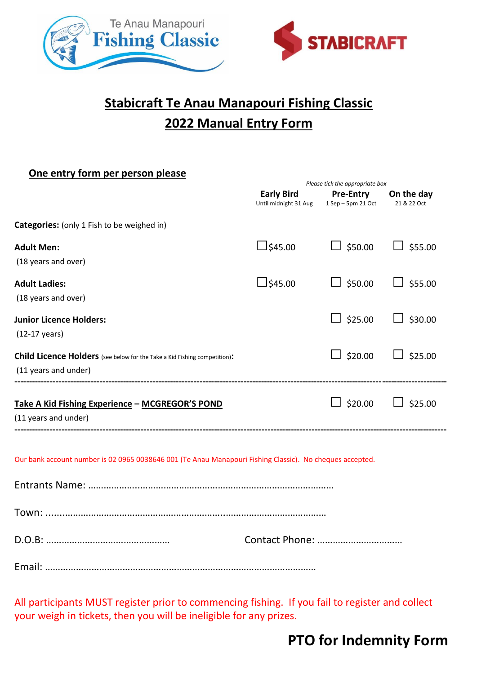

## **Stabicraft Te Anau Manapouri Fishing Classic 2022 Manual Entry Form**

## **One entry form per person please**

|                                                                                                          |                                            | Please tick the appropriate box        |                           |  |  |
|----------------------------------------------------------------------------------------------------------|--------------------------------------------|----------------------------------------|---------------------------|--|--|
|                                                                                                          | <b>Early Bird</b><br>Until midnight 31 Aug | <b>Pre-Entry</b><br>1 Sep - 5pm 21 Oct | On the day<br>21 & 22 Oct |  |  |
| Categories: (only 1 Fish to be weighed in)                                                               |                                            |                                        |                           |  |  |
| <b>Adult Men:</b>                                                                                        | $\Box$ \$45.00                             | $\Box$ \$50.00                         | $\Box$ \$55.00            |  |  |
| (18 years and over)                                                                                      |                                            |                                        |                           |  |  |
| <b>Adult Ladies:</b>                                                                                     | $\perp$ \$45.00                            | $\Box$ \$50.00                         | $\Box$ \$55.00            |  |  |
| (18 years and over)                                                                                      |                                            |                                        |                           |  |  |
| <b>Junior Licence Holders:</b>                                                                           |                                            | $\Box$ \$25.00                         | $\Box$ \$30.00            |  |  |
| $(12-17 \text{ years})$                                                                                  |                                            |                                        |                           |  |  |
| Child Licence Holders (see below for the Take a Kid Fishing competition):                                |                                            | $\Box$ \$20.00                         | $\Box$ \$25.00            |  |  |
| (11 years and under)                                                                                     |                                            |                                        |                           |  |  |
| Take A Kid Fishing Experience - MCGREGOR'S POND                                                          |                                            | $\Box$ \$20.00                         | $\Box$ \$25.00            |  |  |
| (11 years and under)                                                                                     |                                            |                                        |                           |  |  |
| Our bank account number is 02 0965 0038646 001 (Te Anau Manapouri Fishing Classic). No cheques accepted. |                                            |                                        |                           |  |  |
|                                                                                                          |                                            |                                        |                           |  |  |
|                                                                                                          |                                            |                                        |                           |  |  |
|                                                                                                          |                                            |                                        |                           |  |  |

All participants MUST register prior to commencing fishing. If you fail to register and collect your weigh in tickets, then you will be ineligible for any prizes.

## **PTO for Indemnity Form**